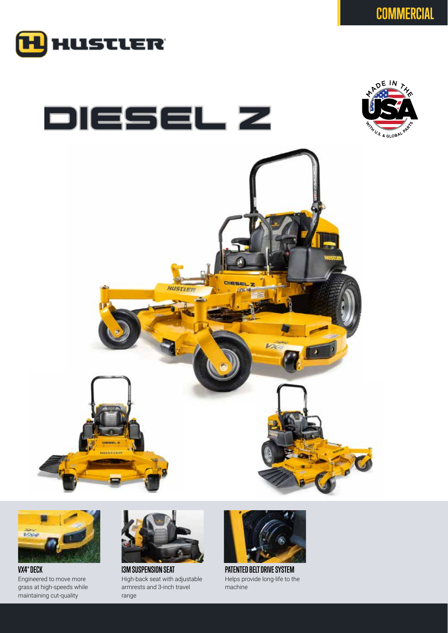









**VX4® DECK** Engineered to move more grass at high-speeds while maintaining cut-quality



**I3M SUSPENSION SEAT** High-back seat with adjustable armrests and 3-inch travel range



**PATENTED BELT DRIVE SYSTEM** Helps provide long-life to the machine